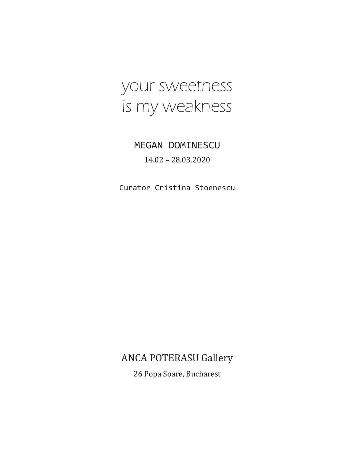# your sweetness is my weakness

## MEGAN DOMINESCU 14.02 – 28.03.2020

Curator Cristina Stoenescu

## ANCA POTERASU Gallery

26 Popa Soare, Bucharest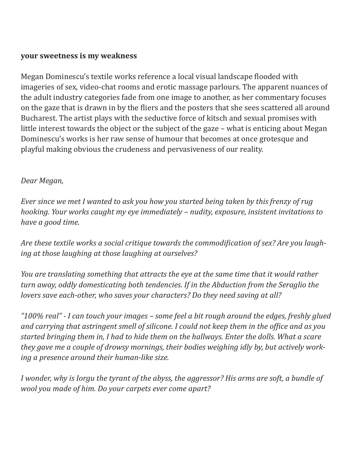#### **your sweetness is my weakness**

Megan Dominescu's textile works reference a local visual landscape flooded with imageries of sex, video-chat rooms and erotic massage parlours. The apparent nuances of the adult industry categories fade from one image to another, as her commentary focuses on the gaze that is drawn in by the fliers and the posters that she sees scattered all around Bucharest. The artist plays with the seductive force of kitsch and sexual promises with little interest towards the object or the subject of the gaze – what is enticing about Megan Dominescu's works is her raw sense of humour that becomes at once grotesque and playful making obvious the crudeness and pervasiveness of our reality.

#### *Dear Megan,*

*Ever since we met I wanted to ask you how you started being taken by this frenzy of rug hooking. Your works caught my eye immediately – nudity, exposure, insistent invitations to have a good time.* 

*Are these textile works a social critique towards the commodification of sex? Are you laughing at those laughing at those laughing at ourselves?*

*You are translating something that attracts the eye at the same time that it would rather turn away, oddly domesticating both tendencies. If in the Abduction from the Seraglio the lovers save each-other, who saves your characters? Do they need saving at all?*

*"100% real" - I can touch your images – some feel a bit rough around the edges, freshly glued and carrying that astringent smell of silicone. I could not keep them in the office and as you started bringing them in, I had to hide them on the hallways. Enter the dolls. What a scare they gave me a couple of drowsy mornings, their bodies weighing idly by, but actively working a presence around their human-like size.* 

*I wonder, why is Iorgu the tyrant of the abyss, the aggressor? His arms are soft, a bundle of wool you made of him. Do your carpets ever come apart?*